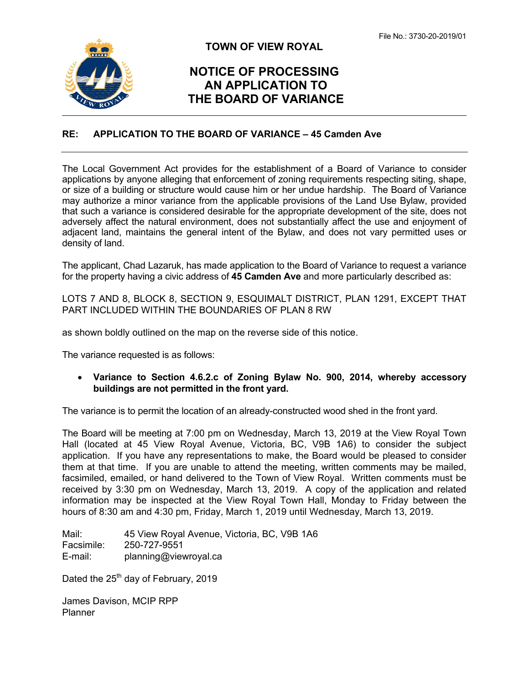

### **TOWN OF VIEW ROYAL**

## **NOTICE OF PROCESSING AN APPLICATION TO THE BOARD OF VARIANCE**

#### **RE: APPLICATION TO THE BOARD OF VARIANCE – 45 Camden Ave**

The Local Government Act provides for the establishment of a Board of Variance to consider applications by anyone alleging that enforcement of zoning requirements respecting siting, shape, or size of a building or structure would cause him or her undue hardship. The Board of Variance may authorize a minor variance from the applicable provisions of the Land Use Bylaw, provided that such a variance is considered desirable for the appropriate development of the site, does not adversely affect the natural environment, does not substantially affect the use and enjoyment of adjacent land, maintains the general intent of the Bylaw, and does not vary permitted uses or density of land.

The applicant, Chad Lazaruk, has made application to the Board of Variance to request a variance for the property having a civic address of **45 Camden Ave** and more particularly described as:

LOTS 7 AND 8, BLOCK 8, SECTION 9, ESQUIMALT DISTRICT, PLAN 1291, EXCEPT THAT PART INCLUDED WITHIN THE BOUNDARIES OF PLAN 8 RW

as shown boldly outlined on the map on the reverse side of this notice.

The variance requested is as follows:

 **Variance to Section 4.6.2.c of Zoning Bylaw No. 900, 2014, whereby accessory buildings are not permitted in the front yard.** 

The variance is to permit the location of an already-constructed wood shed in the front yard.

The Board will be meeting at 7:00 pm on Wednesday, March 13, 2019 at the View Royal Town Hall (located at 45 View Royal Avenue, Victoria, BC, V9B 1A6) to consider the subject application. If you have any representations to make, the Board would be pleased to consider them at that time. If you are unable to attend the meeting, written comments may be mailed, facsimiled, emailed, or hand delivered to the Town of View Royal. Written comments must be received by 3:30 pm on Wednesday, March 13, 2019. A copy of the application and related information may be inspected at the View Royal Town Hall, Monday to Friday between the hours of 8:30 am and 4:30 pm, Friday, March 1, 2019 until Wednesday, March 13, 2019.

Mail: 45 View Royal Avenue, Victoria, BC, V9B 1A6 Facsimile: 250-727-9551 E-mail: planning@viewroyal.ca

Dated the  $25<sup>th</sup>$  day of February, 2019

James Davison, MCIP RPP Planner